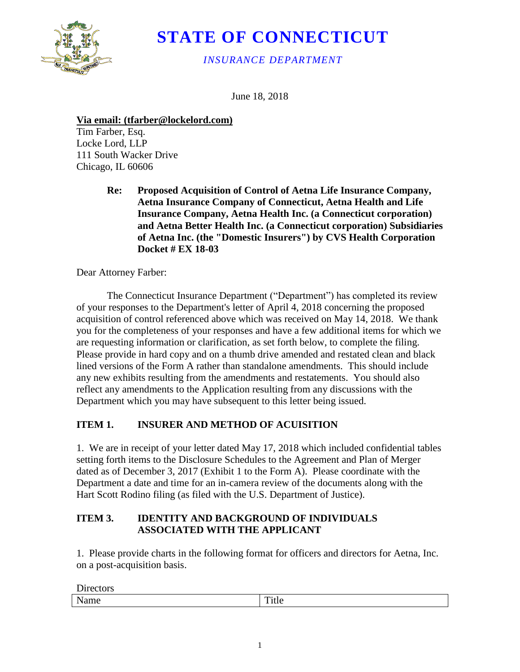

# **STATE OF CONNECTICUT**

*INSURANCE DEPARTMENT*

June 18, 2018

**Via email: (tfarber@lockelord.com)**

Tim Farber, Esq. Locke Lord, LLP 111 South Wacker Drive Chicago, IL 60606

> **Re: Proposed Acquisition of Control of Aetna Life Insurance Company, Aetna Insurance Company of Connecticut, Aetna Health and Life Insurance Company, Aetna Health Inc. (a Connecticut corporation) and Aetna Better Health Inc. (a Connecticut corporation) Subsidiaries of Aetna Inc. (the "Domestic Insurers") by CVS Health Corporation Docket # EX 18-03**

Dear Attorney Farber:

Directors

The Connecticut Insurance Department ("Department") has completed its review of your responses to the Department's letter of April 4, 2018 concerning the proposed acquisition of control referenced above which was received on May 14, 2018. We thank you for the completeness of your responses and have a few additional items for which we are requesting information or clarification, as set forth below, to complete the filing. Please provide in hard copy and on a thumb drive amended and restated clean and black lined versions of the Form A rather than standalone amendments. This should include any new exhibits resulting from the amendments and restatements. You should also reflect any amendments to the Application resulting from any discussions with the Department which you may have subsequent to this letter being issued.

# **ITEM 1. INSURER AND METHOD OF ACUISITION**

1. We are in receipt of your letter dated May 17, 2018 which included confidential tables setting forth items to the Disclosure Schedules to the Agreement and Plan of Merger dated as of December 3, 2017 (Exhibit 1 to the Form A). Please coordinate with the Department a date and time for an in-camera review of the documents along with the Hart Scott Rodino filing (as filed with the U.S. Department of Justice).

#### **ITEM 3. IDENTITY AND BACKGROUND OF INDIVIDUALS ASSOCIATED WITH THE APPLICANT**

1. Please provide charts in the following format for officers and directors for Aetna, Inc. on a post-acquisition basis.

| <b>DIRCUS</b>        |                |
|----------------------|----------------|
| <b>B</b> T<br>туаніс | 1 itie<br>---- |
|                      |                |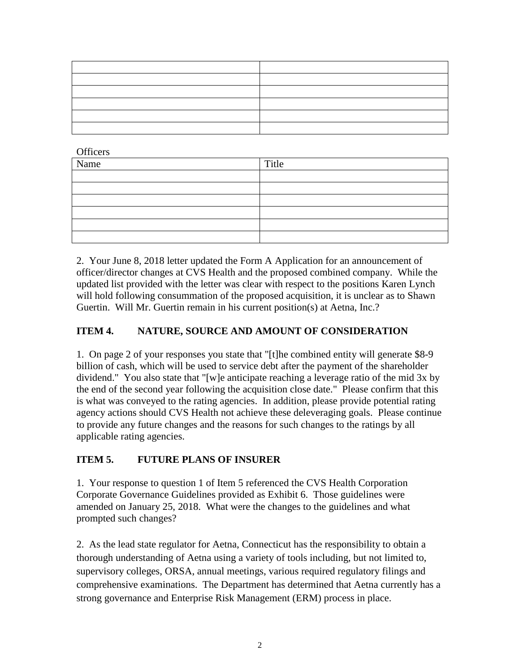| the contract of the contract of the contract of the contract of the contract of |  |
|---------------------------------------------------------------------------------|--|
| the contract of the contract of the contract of the contract of the contract of |  |
|                                                                                 |  |
|                                                                                 |  |
|                                                                                 |  |
|                                                                                 |  |

**Officers** 

| Name | Title |
|------|-------|
|      |       |
|      |       |
|      |       |
|      |       |
|      |       |
|      |       |

2. Your June 8, 2018 letter updated the Form A Application for an announcement of officer/director changes at CVS Health and the proposed combined company. While the updated list provided with the letter was clear with respect to the positions Karen Lynch will hold following consummation of the proposed acquisition, it is unclear as to Shawn Guertin. Will Mr. Guertin remain in his current position(s) at Aetna, Inc.?

### **ITEM 4. NATURE, SOURCE AND AMOUNT OF CONSIDERATION**

1. On page 2 of your responses you state that "[t]he combined entity will generate \$8-9 billion of cash, which will be used to service debt after the payment of the shareholder dividend." You also state that "[w]e anticipate reaching a leverage ratio of the mid 3x by the end of the second year following the acquisition close date." Please confirm that this is what was conveyed to the rating agencies. In addition, please provide potential rating agency actions should CVS Health not achieve these deleveraging goals. Please continue to provide any future changes and the reasons for such changes to the ratings by all applicable rating agencies.

#### **ITEM 5. FUTURE PLANS OF INSURER**

1. Your response to question 1 of Item 5 referenced the CVS Health Corporation Corporate Governance Guidelines provided as Exhibit 6. Those guidelines were amended on January 25, 2018. What were the changes to the guidelines and what prompted such changes?

2. As the lead state regulator for Aetna, Connecticut has the responsibility to obtain a thorough understanding of Aetna using a variety of tools including, but not limited to, supervisory colleges, ORSA, annual meetings, various required regulatory filings and comprehensive examinations. The Department has determined that Aetna currently has a strong governance and Enterprise Risk Management (ERM) process in place.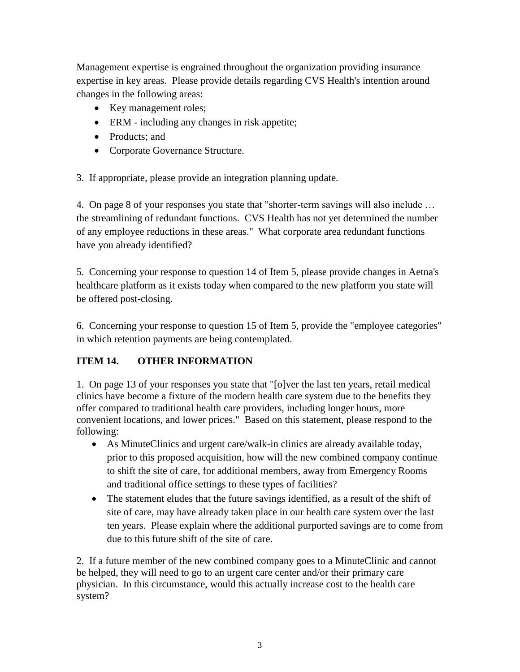Management expertise is engrained throughout the organization providing insurance expertise in key areas. Please provide details regarding CVS Health's intention around changes in the following areas:

- Key management roles;
- ERM including any changes in risk appetite;
- Products: and
- Corporate Governance Structure.

3. If appropriate, please provide an integration planning update.

4. On page 8 of your responses you state that "shorter-term savings will also include … the streamlining of redundant functions. CVS Health has not yet determined the number of any employee reductions in these areas." What corporate area redundant functions have you already identified?

5. Concerning your response to question 14 of Item 5, please provide changes in Aetna's healthcare platform as it exists today when compared to the new platform you state will be offered post-closing.

6. Concerning your response to question 15 of Item 5, provide the "employee categories" in which retention payments are being contemplated.

# **ITEM 14. OTHER INFORMATION**

1. On page 13 of your responses you state that "[o]ver the last ten years, retail medical clinics have become a fixture of the modern health care system due to the benefits they offer compared to traditional health care providers, including longer hours, more convenient locations, and lower prices." Based on this statement, please respond to the following:

- As MinuteClinics and urgent care/walk-in clinics are already available today, prior to this proposed acquisition, how will the new combined company continue to shift the site of care, for additional members, away from Emergency Rooms and traditional office settings to these types of facilities?
- The statement eludes that the future savings identified, as a result of the shift of site of care, may have already taken place in our health care system over the last ten years. Please explain where the additional purported savings are to come from due to this future shift of the site of care.

2. If a future member of the new combined company goes to a MinuteClinic and cannot be helped, they will need to go to an urgent care center and/or their primary care physician. In this circumstance, would this actually increase cost to the health care system?